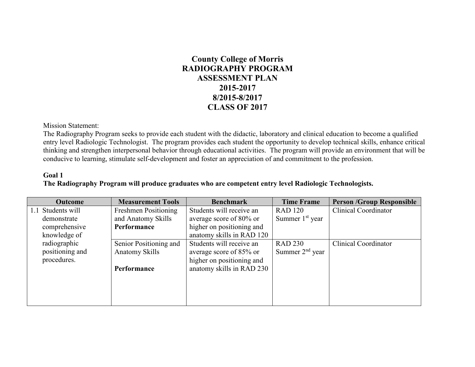# **County College of Morris RADIOGRAPHY PROGRAM ASSESSMENT PLAN 2015-2017 8/2015-8/2017 CLASS OF 2017**

Mission Statement:

The Radiography Program seeks to provide each student with the didactic, laboratory and clinical education to become a qualified entry level Radiologic Technologist. The program provides each student the opportunity to develop technical skills, enhance critical thinking and strengthen interpersonal behavior through educational activities. The program will provide an environment that will be conducive to learning, stimulate self-development and foster an appreciation of and commitment to the profession.

#### **Goal 1 The Radiography Program will produce graduates who are competent entry level Radiologic Technologists.**

| <b>Outcome</b>    | <b>Measurement Tools</b> | <b>Benchmark</b>          | <b>Time Frame</b> | <b>Person /Group Responsible</b> |
|-------------------|--------------------------|---------------------------|-------------------|----------------------------------|
| 1.1 Students will | Freshmen Positioning     | Students will receive an  | <b>RAD 120</b>    | <b>Clinical Coordinator</b>      |
| demonstrate       | and Anatomy Skills       | average score of 80% or   | Summer $1st$ year |                                  |
| comprehensive     | Performance              | higher on positioning and |                   |                                  |
| knowledge of      |                          | anatomy skills in RAD 120 |                   |                                  |
| radiographic      | Senior Positioning and   | Students will receive an  | <b>RAD 230</b>    | <b>Clinical Coordinator</b>      |
| positioning and   | <b>Anatomy Skills</b>    | average score of 85% or   | Summer $2nd$ year |                                  |
| procedures.       |                          | higher on positioning and |                   |                                  |
|                   | Performance              | anatomy skills in RAD 230 |                   |                                  |
|                   |                          |                           |                   |                                  |
|                   |                          |                           |                   |                                  |
|                   |                          |                           |                   |                                  |
|                   |                          |                           |                   |                                  |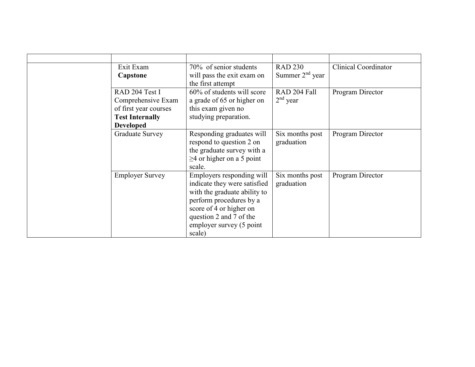| Exit Exam              | 70% of senior students          | <b>RAD 230</b>    | <b>Clinical Coordinator</b> |
|------------------------|---------------------------------|-------------------|-----------------------------|
| Capstone               | will pass the exit exam on      | Summer $2nd$ year |                             |
|                        | the first attempt               |                   |                             |
| RAD 204 Test I         | 60% of students will score      | RAD 204 Fall      | Program Director            |
| Comprehensive Exam     | a grade of 65 or higher on      | $2nd$ year        |                             |
| of first year courses  | this exam given no              |                   |                             |
| <b>Test Internally</b> | studying preparation.           |                   |                             |
| <b>Developed</b>       |                                 |                   |                             |
| Graduate Survey        | Responding graduates will       | Six months post   | Program Director            |
|                        | respond to question 2 on        | graduation        |                             |
|                        | the graduate survey with a      |                   |                             |
|                        | $\geq$ 4 or higher on a 5 point |                   |                             |
|                        | scale.                          |                   |                             |
| <b>Employer Survey</b> | Employers responding will       | Six months post   | Program Director            |
|                        | indicate they were satisfied    | graduation        |                             |
|                        | with the graduate ability to    |                   |                             |
|                        | perform procedures by a         |                   |                             |
|                        | score of 4 or higher on         |                   |                             |
|                        | question 2 and 7 of the         |                   |                             |
|                        | employer survey (5 point        |                   |                             |
|                        | scale)                          |                   |                             |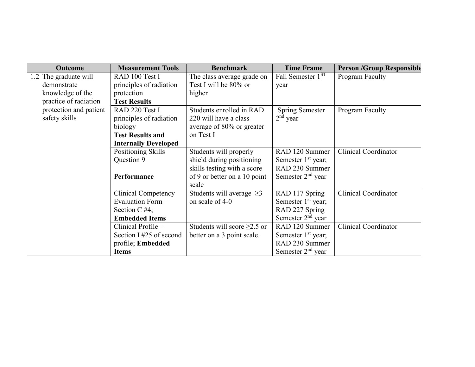| <b>Outcome</b>         | <b>Measurement Tools</b>    | <b>Benchmark</b>                  | <b>Time Frame</b>             | <b>Person /Group Responsible</b> |
|------------------------|-----------------------------|-----------------------------------|-------------------------------|----------------------------------|
| 1.2 The graduate will  | RAD 100 Test I              | The class average grade on        | Fall Semester 1 <sup>ST</sup> | Program Faculty                  |
| demonstrate            | principles of radiation     | Test I will be 80% or             | year                          |                                  |
| knowledge of the       | protection                  | higher                            |                               |                                  |
| practice of radiation  | <b>Test Results</b>         |                                   |                               |                                  |
| protection and patient | RAD 220 Test I              | Students enrolled in RAD          | <b>Spring Semester</b>        | Program Faculty                  |
| safety skills          | principles of radiation     | 220 will have a class             | $2nd$ year                    |                                  |
|                        | biology                     | average of 80% or greater         |                               |                                  |
|                        | <b>Test Results and</b>     | on Test I                         |                               |                                  |
|                        | <b>Internally Developed</b> |                                   |                               |                                  |
|                        | Positioning Skills          | Students will properly            | RAD 120 Summer                | <b>Clinical Coordinator</b>      |
|                        | Question 9                  | shield during positioning         | Semester $1st$ year;          |                                  |
|                        |                             | skills testing with a score       | RAD 230 Summer                |                                  |
|                        | Performance                 | of 9 or better on a 10 point      | Semester $2nd$ year           |                                  |
|                        |                             | scale                             |                               |                                  |
|                        | <b>Clinical Competency</b>  | Students will average $\geq$ 3    | RAD 117 Spring                | <b>Clinical Coordinator</b>      |
|                        | Evaluation Form -           | on scale of 4-0                   | Semester $1st$ year;          |                                  |
|                        | Section C $#4;$             |                                   | RAD 227 Spring                |                                  |
|                        | <b>Embedded Items</b>       |                                   | Semester $2nd$ year           |                                  |
|                        | Clinical Profile -          | Students will score $\geq$ 2.5 or | RAD 120 Summer                | <b>Clinical Coordinator</b>      |
|                        | Section I#25 of second      | better on a 3 point scale.        | Semester $1st$ year;          |                                  |
|                        | profile; Embedded           |                                   | RAD 230 Summer                |                                  |
|                        | Items                       |                                   | Semester $2nd$ year           |                                  |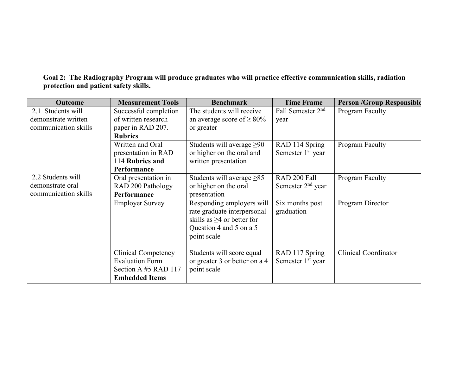## **Goal 2: The Radiography Program will produce graduates who will practice effective communication skills, radiation protection and patient safety skills.**

| <b>Outcome</b>       | <b>Measurement Tools</b>   | <b>Benchmark</b>                 | <b>Time Frame</b>             | <b>Person /Group Responsible</b> |
|----------------------|----------------------------|----------------------------------|-------------------------------|----------------------------------|
| 2.1 Students will    | Successful completion      | The students will receive        | Fall Semester 2 <sup>nd</sup> | Program Faculty                  |
| demonstrate written  | of written research        | an average score of $\geq 80\%$  | year                          |                                  |
| communication skills | paper in RAD 207.          | or greater                       |                               |                                  |
|                      | <b>Rubrics</b>             |                                  |                               |                                  |
|                      | Written and Oral           | Students will average $\geq 90$  | RAD 114 Spring                | Program Faculty                  |
|                      | presentation in RAD        | or higher on the oral and        | Semester 1 <sup>st</sup> year |                                  |
|                      | 114 Rubrics and            | written presentation             |                               |                                  |
|                      | Performance                |                                  |                               |                                  |
| 2.2 Students will    | Oral presentation in       | Students will average $\geq 85$  | RAD 200 Fall                  | Program Faculty                  |
| demonstrate oral     | RAD 200 Pathology          | or higher on the oral            | Semester 2 <sup>nd</sup> year |                                  |
| communication skills | Performance                | presentation                     |                               |                                  |
|                      | <b>Employer Survey</b>     | Responding employers will        | Six months post               | Program Director                 |
|                      |                            | rate graduate interpersonal      | graduation                    |                                  |
|                      |                            | skills as $\geq$ 4 or better for |                               |                                  |
|                      |                            | Question 4 and 5 on a 5          |                               |                                  |
|                      |                            | point scale                      |                               |                                  |
|                      |                            |                                  |                               |                                  |
|                      | <b>Clinical Competency</b> | Students will score equal        | RAD 117 Spring                | <b>Clinical Coordinator</b>      |
|                      | <b>Evaluation Form</b>     | or greater 3 or better on a 4    | Semester 1 <sup>st</sup> year |                                  |
|                      | Section A #5 RAD 117       | point scale                      |                               |                                  |
|                      | <b>Embedded Items</b>      |                                  |                               |                                  |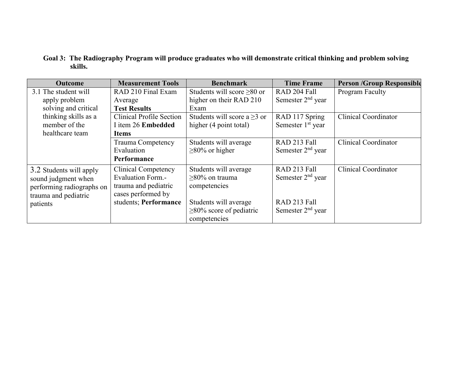### **Goal 3: The Radiography Program will produce graduates who will demonstrate critical thinking and problem solving skills.**

| <b>Outcome</b>            | <b>Measurement Tools</b>        | <b>Benchmark</b>                 | <b>Time Frame</b>             | <b>Person /Group Responsible</b> |
|---------------------------|---------------------------------|----------------------------------|-------------------------------|----------------------------------|
| 3.1 The student will      | RAD 210 Final Exam              | Students will score $\geq 80$ or | RAD 204 Fall                  | Program Faculty                  |
| apply problem             | Average                         | higher on their RAD 210          | Semester $2nd$ year           |                                  |
| solving and critical      | <b>Test Results</b>             | Exam                             |                               |                                  |
| thinking skills as a      | <b>Clinical Profile Section</b> | Students will score a $>3$ or    | RAD 117 Spring                | <b>Clinical Coordinator</b>      |
| member of the             | I item 26 Embedded              | higher (4 point total)           | Semester 1 <sup>st</sup> year |                                  |
| healthcare team           | Items                           |                                  |                               |                                  |
|                           | Trauma Competency               | Students will average            | RAD 213 Fall                  | <b>Clinical Coordinator</b>      |
|                           | Evaluation                      | $\geq$ 80% or higher             | Semester $2nd$ year           |                                  |
|                           | Performance                     |                                  |                               |                                  |
| 3.2 Students will apply   | <b>Clinical Competency</b>      | Students will average            | RAD 213 Fall                  | <b>Clinical Coordinator</b>      |
| sound judgment when       | <b>Evaluation Form.-</b>        | $>80\%$ on trauma                | Semester $2nd$ year           |                                  |
| performing radiographs on | trauma and pediatric            | competencies                     |                               |                                  |
| trauma and pediatric      | cases performed by              |                                  |                               |                                  |
| patients                  | students; Performance           | Students will average            | RAD 213 Fall                  |                                  |
|                           |                                 | $\geq$ 80% score of pediatric    | Semester $2nd$ year           |                                  |
|                           |                                 | competencies                     |                               |                                  |